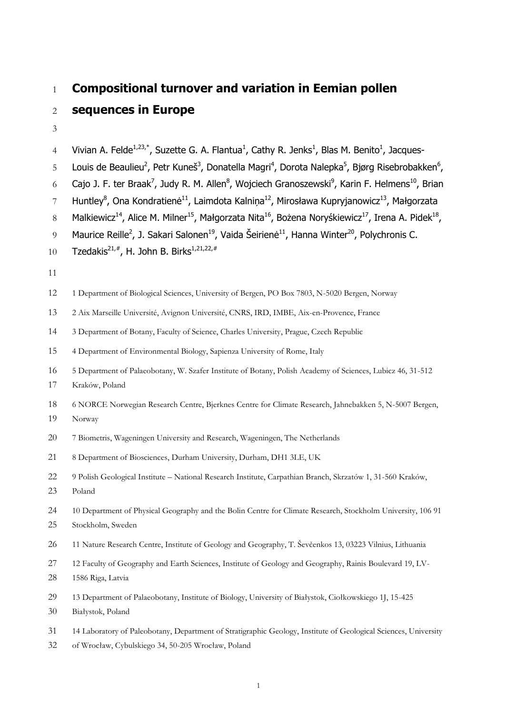# **Compositional turnover and variation in Eemian pollen sequences in Europe**

4 Vivian A. Felde<sup>1,23,\*</sup>, Suzette G. A. Flantua<sup>1</sup>, Cathy R. Jenks<sup>1</sup>, Blas M. Benito<sup>1</sup>, Jacques-

5 Louis de Beaulieu<sup>2</sup>, Petr Kuneš<sup>3</sup>, Donatella Magri<sup>4</sup>, Dorota Nalepka<sup>5</sup>, Bjørg Risebrobakken<sup>6</sup>,

6 Cajo J. F. ter Braak<sup>7</sup>, Judy R. M. Allen<sup>8</sup>, Wojciech Granoszewski<sup>9</sup>, Karin F. Helmens<sup>10</sup>, Brian

7 Huntley<sup>8</sup>, Ona Kondratienė<sup>11</sup>, Laimdota Kalniņa<sup>12</sup>, Mirosława Kupryjanowicz<sup>13</sup>, Małgorzata

8 Malkiewicz<sup>14</sup>, Alice M. Milner<sup>15</sup>, Małgorzata Nita<sup>16</sup>, Bożena Noryśkiewicz<sup>17</sup>, Irena A. Pidek<sup>18</sup>,

9 Maurice Reille<sup>2</sup>, J. Sakari Salonen<sup>19</sup>, Vaida Šeirienė<sup>11</sup>, Hanna Winter<sup>20</sup>, Polychronis C.

- 10 Tzedakis<sup>21,#</sup>, H. John B. Birks<sup>1,21,22,#</sup>
- 
- 1 Department of Biological Sciences, University of Bergen, PO Box 7803, N-5020 Bergen, Norway
- 2 Aix Marseille Université, Avignon Université, CNRS, IRD, IMBE, Aix-en-Provence, France

3 Department of Botany, Faculty of Science, Charles University, Prague, Czech Republic

4 Department of Environmental Biology, Sapienza University of Rome, Italy

- 5 Department of Palaeobotany, W. Szafer Institute of Botany, Polish Academy of Sciences, Lubicz 46, 31-512
- Kraków, Poland
- 6 NORCE Norwegian Research Centre, Bjerknes Centre for Climate Research, Jahnebakken 5, N-5007 Bergen,
- Norway
- 7 Biometris, Wageningen University and Research, Wageningen, The Netherlands
- 8 Department of Biosciences, Durham University, Durham, DH1 3LE, UK
- 9 Polish Geological Institute National Research Institute, Carpathian Branch, Skrzatów 1, 31-560 Kraków,
- Poland
- 10 Department of Physical Geography and the Bolin Centre for Climate Research, Stockholm University, 106 91
- Stockholm, Sweden
- 11 Nature Research Centre, Institute of Geology and Geography, T. Ševčenkos 13, 03223 Vilnius, Lithuania
- 12 Faculty of Geography and Earth Sciences, Institute of Geology and Geography, Rainis Boulevard 19, LV-
- 1586 Riga, Latvia
- 13 Department of Palaeobotany, Institute of Biology, University of Białystok, Ciołkowskiego 1J, 15-425
- Białystok, Poland
- 14 Laboratory of Paleobotany, Department of Stratigraphic Geology, Institute of Geological Sciences, University
- of Wrocław, Cybulskiego 34, 50-205 Wrocław, Poland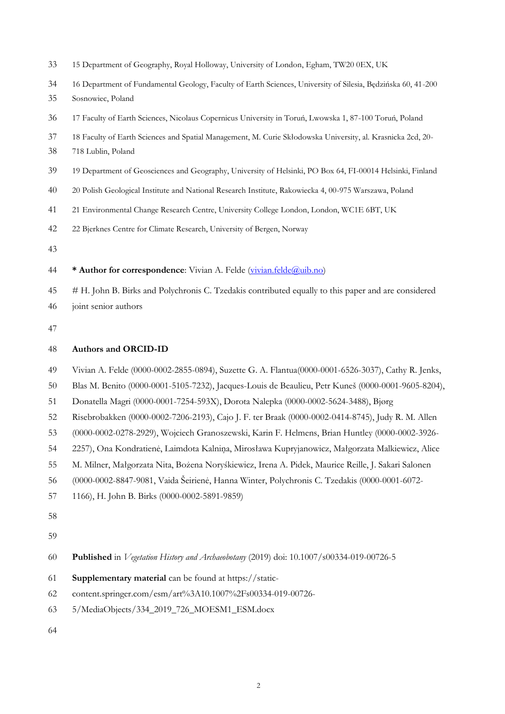- 15 Department of Geography, Royal Holloway, University of London, Egham, TW20 0EX, UK
- 16 Department of Fundamental Geology, Faculty of Earth Sciences, University of Silesia, Będzińska 60, 41-200
- Sosnowiec, Poland
- 17 Faculty of Earth Sciences, Nicolaus Copernicus University in Toruń, Lwowska 1, 87-100 Toruń, Poland
- 18 Faculty of Earth Sciences and Spatial Management, M. Curie Skłodowska University, al. Krasnicka 2cd, 20-
- 718 Lublin, Poland
- 19 Department of Geosciences and Geography, University of Helsinki, PO Box 64, FI-00014 Helsinki, Finland
- 20 Polish Geological Institute and National Research Institute, Rakowiecka 4, 00-975 Warszawa, Poland
- 21 Environmental Change Research Centre, University College London, London, WC1E 6BT, UK
- 22 Bjerknes Centre for Climate Research, University of Bergen, Norway
- 
- **\* Author for correspondence**: Vivian A. Felde [\(vivian.felde@uib.no\)](mailto:vivian.felde@uib.no)
- # H. John B. Birks and Polychronis C. Tzedakis contributed equally to this paper and are considered joint senior authors
- 

#### **Authors and ORCID-ID**

- Vivian A. Felde (0000-0002-2855-0894), Suzette G. A. Flantua(0000-0001-6526-3037), Cathy R. Jenks,
- Blas M. Benito (0000-0001-5105-7232), Jacques-Louis de Beaulieu, Petr Kuneš (0000-0001-9605-8204),
- Donatella Magri (0000-0001-7254-593X), Dorota Nalepka (0000-0002-5624-3488), Bjørg
- Risebrobakken (0000-0002-7206-2193), Cajo J. F. ter Braak (0000-0002-0414-8745), Judy R. M. Allen
- (0000-0002-0278-2929), Wojciech Granoszewski, Karin F. Helmens, Brian Huntley (0000-0002-3926-
- 2257), Ona Kondratienė, Laimdota Kalniņa, Mirosława Kupryjanowicz, Małgorzata Malkiewicz, Alice
- M. Milner, Małgorzata Nita, Bożena Noryśkiewicz, Irena A. Pidek, Maurice Reille, J. Sakari Salonen
- (0000-0002-8847-9081, Vaida Šeirienė, Hanna Winter, Polychronis C. Tzedakis (0000-0001-6072-
- 1166), H. John B. Birks (0000-0002-5891-9859)
- 
- 

**Published** in *Vegetation History and Archaeobotany* (2019) doi: 10.1007/s00334-019-00726-5

- **Supplementary material** can be found at https://static-
- content.springer.com/esm/art%3A10.1007%2Fs00334-019-00726-
- 5/MediaObjects/334\_2019\_726\_MOESM1\_ESM.docx
-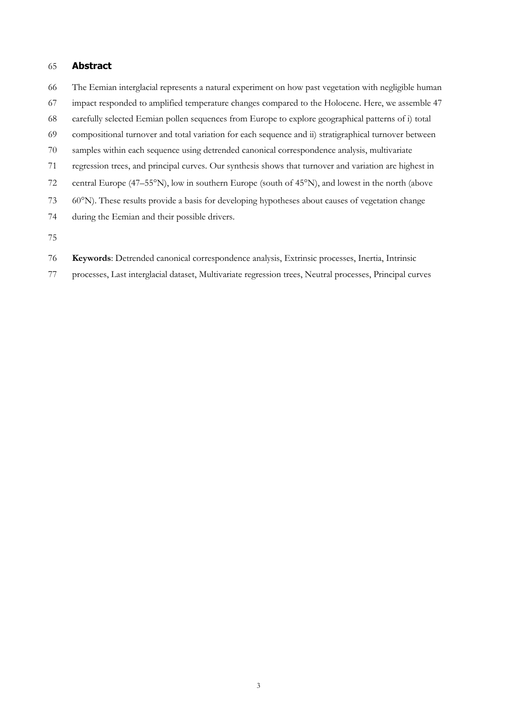#### **Abstract**

- The Eemian interglacial represents a natural experiment on how past vegetation with negligible human
- impact responded to amplified temperature changes compared to the Holocene. Here, we assemble 47
- carefully selected Eemian pollen sequences from Europe to explore geographical patterns of i) total
- compositional turnover and total variation for each sequence and ii) stratigraphical turnover between
- samples within each sequence using detrended canonical correspondence analysis, multivariate
- regression trees, and principal curves. Our synthesis shows that turnover and variation are highest in
- 72 central Europe (47–55°N), low in southern Europe (south of 45°N), and lowest in the north (above
- 60N). These results provide a basis for developing hypotheses about causes of vegetation change
- during the Eemian and their possible drivers.
- 
- **Keywords**: Detrended canonical correspondence analysis, Extrinsic processes, Inertia, Intrinsic
- processes, Last interglacial dataset, Multivariate regression trees, Neutral processes, Principal curves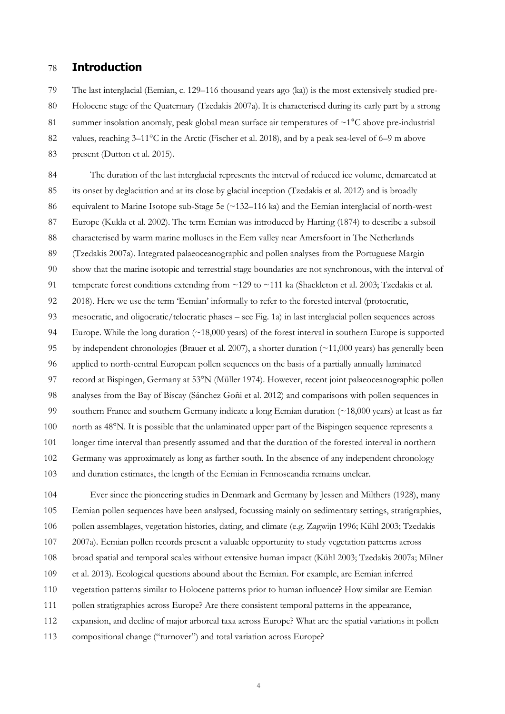### **Introduction**

The last interglacial (Eemian, c. 129–116 thousand years ago (ka)) is the most extensively studied pre-

Holocene stage of the Quaternary (Tzedakis 2007a). It is characterised during its early part by a strong

81 summer insolation anomaly, peak global mean surface air temperatures of  $\sim$ 1 $\degree$ C above pre-industrial

82 values, reaching 3–11<sup>o</sup>C in the Arctic (Fischer et al. 2018), and by a peak sea-level of 6–9 m above

present (Dutton et al. 2015).

 The duration of the last interglacial represents the interval of reduced ice volume, demarcated at its onset by deglaciation and at its close by glacial inception (Tzedakis et al. 2012) and is broadly equivalent to Marine Isotope sub-Stage 5e (~132–116 ka) and the Eemian interglacial of north-west Europe (Kukla et al. 2002). The term Eemian was introduced by Harting (1874) to describe a subsoil characterised by warm marine molluscs in the Eem valley near Amersfoort in The Netherlands (Tzedakis 2007a). Integrated palaeoceanographic and pollen analyses from the Portuguese Margin show that the marine isotopic and terrestrial stage boundaries are not synchronous, with the interval of 91 temperate forest conditions extending from ~129 to ~111 ka (Shackleton et al. 2003; Tzedakis et al. 2018). Here we use the term 'Eemian' informally to refer to the forested interval (protocratic, mesocratic, and oligocratic/telocratic phases – see Fig. 1a) in last interglacial pollen sequences across Europe. While the long duration (~18,000 years) of the forest interval in southern Europe is supported by independent chronologies (Brauer et al. 2007), a shorter duration (~11,000 years) has generally been applied to north-central European pollen sequences on the basis of a partially annually laminated record at Bispingen, Germany at 53°N (Müller 1974). However, recent joint palaeoceanographic pollen analyses from the Bay of Biscay (Sánchez Goñi et al. 2012) and comparisons with pollen sequences in southern France and southern Germany indicate a long Eemian duration (~18,000 years) at least as far 100 north as 48°N. It is possible that the unlaminated upper part of the Bispingen sequence represents a longer time interval than presently assumed and that the duration of the forested interval in northern Germany was approximately as long as farther south. In the absence of any independent chronology and duration estimates, the length of the Eemian in Fennoscandia remains unclear.

 Ever since the pioneering studies in Denmark and Germany by Jessen and Milthers (1928), many Eemian pollen sequences have been analysed, focussing mainly on sedimentary settings, stratigraphies, pollen assemblages, vegetation histories, dating, and climate (e.g. Zagwijn 1996; Kühl 2003; Tzedakis 2007a). Eemian pollen records present a valuable opportunity to study vegetation patterns across broad spatial and temporal scales without extensive human impact (Kühl 2003; Tzedakis 2007a; Milner et al. 2013). Ecological questions abound about the Eemian. For example, are Eemian inferred vegetation patterns similar to Holocene patterns prior to human influence? How similar are Eemian 111 pollen stratigraphies across Europe? Are there consistent temporal patterns in the appearance, expansion, and decline of major arboreal taxa across Europe? What are the spatial variations in pollen compositional change ("turnover") and total variation across Europe?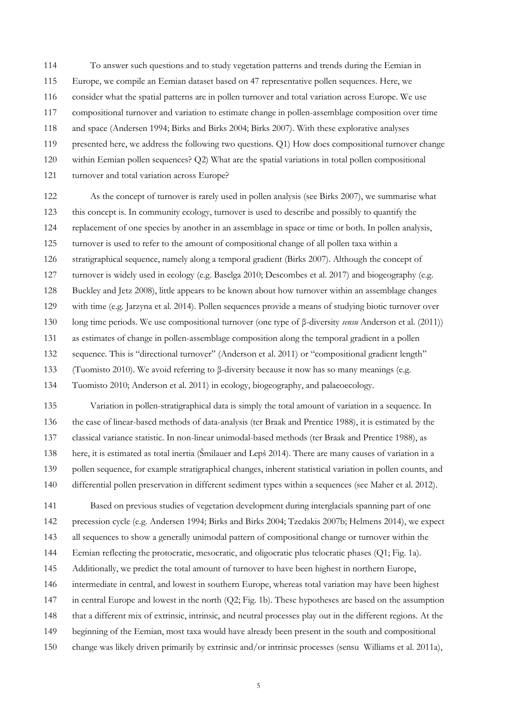To answer such questions and to study vegetation patterns and trends during the Eemian in

- Europe, we compile an Eemian dataset based on 47 representative pollen sequences. Here, we
- consider what the spatial patterns are in pollen turnover and total variation across Europe. We use
- compositional turnover and variation to estimate change in pollen-assemblage composition over time
- and space (Andersen 1994; Birks and Birks 2004; Birks 2007). With these explorative analyses
- presented here, we address the following two questions. Q1) How does compositional turnover change
- within Eemian pollen sequences? Q2) What are the spatial variations in total pollen compositional
- 121 turnover and total variation across Europe?

 As the concept of turnover is rarely used in pollen analysis (see Birks 2007), we summarise what this concept is. In community ecology, turnover is used to describe and possibly to quantify the replacement of one species by another in an assemblage in space or time or both. In pollen analysis, turnover is used to refer to the amount of compositional change of all pollen taxa within a stratigraphical sequence, namely along a temporal gradient (Birks 2007). Although the concept of turnover is widely used in ecology (e.g. Baselga 2010; Descombes et al. 2017) and biogeography (e.g. Buckley and Jetz 2008), little appears to be known about how turnover within an assemblage changes with time (e.g. Jarzyna et al. 2014). Pollen sequences provide a means of studying biotic turnover over long time periods. We use compositional turnover (one type of β-diversity *sensu* Anderson et al. (2011)) as estimates of change in pollen-assemblage composition along the temporal gradient in a pollen sequence. This is "directional turnover" (Anderson et al. 2011) or "compositional gradient length" (Tuomisto 2010). We avoid referring to β-diversity because it now has so many meanings (e.g. Tuomisto 2010; Anderson et al. 2011) in ecology, biogeography, and palaeoecology.

 Variation in pollen-stratigraphical data is simply the total amount of variation in a sequence. In the case of linear-based methods of data-analysis (ter Braak and Prentice 1988), it is estimated by the classical variance statistic. In non-linear unimodal-based methods (ter Braak and Prentice 1988), as here, it is estimated as total inertia (Šmilauer and Lepš 2014). There are many causes of variation in a pollen sequence, for example stratigraphical changes, inherent statistical variation in pollen counts, and differential pollen preservation in different sediment types within a sequences (see Maher et al. 2012).

- Based on previous studies of vegetation development during interglacials spanning part of one precession cycle (e.g. Andersen 1994; Birks and Birks 2004; Tzedakis 2007b; Helmens 2014), we expect all sequences to show a generally unimodal pattern of compositional change or turnover within the Eemian reflecting the protocratic, mesocratic, and oligocratic plus telocratic phases (Q1; Fig. 1a).
- Additionally, we predict the total amount of turnover to have been highest in northern Europe,
- intermediate in central, and lowest in southern Europe, whereas total variation may have been highest
- in central Europe and lowest in the north (Q2; Fig. 1b). These hypotheses are based on the assumption
- that a different mix of extrinsic, intrinsic, and neutral processes play out in the different regions. At the
- beginning of the Eemian, most taxa would have already been present in the south and compositional
- change was likely driven primarily by extrinsic and/or intrinsic processes (sensu Williams et al. 2011a),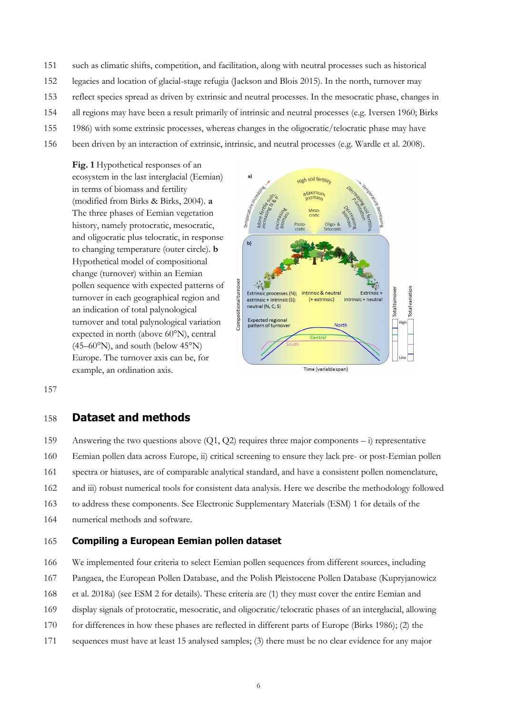- 151 such as climatic shifts, competition, and facilitation, along with neutral processes such as historical
- 152 legacies and location of glacial-stage refugia (Jackson and Blois 2015). In the north, turnover may
- 153 reflect species spread as driven by extrinsic and neutral processes. In the mesocratic phase, changes in
- 154 all regions may have been a result primarily of intrinsic and neutral processes (e.g. Iversen 1960; Birks
- 155 1986) with some extrinsic processes, whereas changes in the oligocratic/telocratic phase may have
- 156 been driven by an interaction of extrinsic, intrinsic, and neutral processes (e.g. Wardle et al. 2008).

**Fig. 1** Hypothetical responses of an ecosystem in the last interglacial (Eemian) in terms of biomass and fertility (modified from Birks & Birks, 2004). **a** The three phases of Eemian vegetation history, namely protocratic, mesocratic, and oligocratic plus telocratic, in response to changing temperature (outer circle). **b** Hypothetical model of compositional change (turnover) within an Eemian pollen sequence with expected patterns of turnover in each geographical region and an indication of total palynological turnover and total palynological variation expected in north (above 60°N), central  $(45-60°N)$ , and south (below  $45°N$ ) Europe. The turnover axis can be, for example, an ordination axis.



157

#### 158 **Dataset and methods**

159 Answering the two questions above (Q1, Q2) requires three major components – i) representative

- 160 Eemian pollen data across Europe, ii) critical screening to ensure they lack pre- or post-Eemian pollen
- 161 spectra or hiatuses, are of comparable analytical standard, and have a consistent pollen nomenclature,
- 162 and iii) robust numerical tools for consistent data analysis. Here we describe the methodology followed
- 163 to address these components. See Electronic Supplementary Materials (ESM) 1 for details of the
- 164 numerical methods and software.

#### 165 **Compiling a European Eemian pollen dataset**

166 We implemented four criteria to select Eemian pollen sequences from different sources, including

- 167 Pangaea, the European Pollen Database, and the Polish Pleistocene Pollen Database (Kupryjanowicz
- 168 et al. 2018a) (see ESM 2 for details). These criteria are (1) they must cover the entire Eemian and
- 169 display signals of protocratic, mesocratic, and oligocratic/telocratic phases of an interglacial, allowing
- 170 for differences in how these phases are reflected in different parts of Europe (Birks 1986); (2) the
- 171 sequences must have at least 15 analysed samples; (3) there must be no clear evidence for any major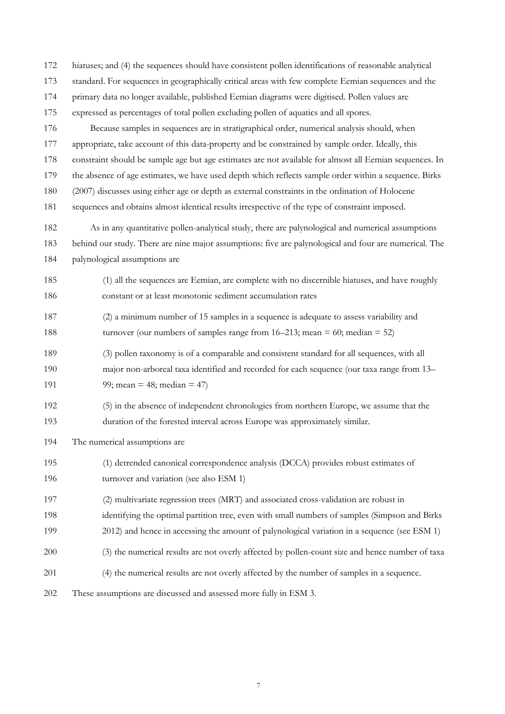hiatuses; and (4) the sequences should have consistent pollen identifications of reasonable analytical standard. For sequences in geographically critical areas with few complete Eemian sequences and the primary data no longer available, published Eemian diagrams were digitised. Pollen values are expressed as percentages of total pollen excluding pollen of aquatics and all spores. Because samples in sequences are in stratigraphical order, numerical analysis should, when appropriate, take account of this data-property and be constrained by sample order. Ideally, this constraint should be sample age but age estimates are not available for almost all Eemian sequences. In the absence of age estimates, we have used depth which reflects sample order within a sequence. Birks (2007) discusses using either age or depth as external constraints in the ordination of Holocene sequences and obtains almost identical results irrespective of the type of constraint imposed. As in any quantitative pollen-analytical study, there are palynological and numerical assumptions behind our study. There are nine major assumptions: five are palynological and four are numerical. The palynological assumptions are (1) all the sequences are Eemian, are complete with no discernible hiatuses, and have roughly constant or at least monotonic sediment accumulation rates (2) a minimum number of 15 samples in a sequence is adequate to assess variability and turnover (our numbers of samples range from 16–213; mean = 60; median = 52) (3) pollen taxonomy is of a comparable and consistent standard for all sequences, with all major non-arboreal taxa identified and recorded for each sequence (our taxa range from 13– 191 99; mean = 48; median = 47) (5) in the absence of independent chronologies from northern Europe, we assume that the duration of the forested interval across Europe was approximately similar. The numerical assumptions are (1) detrended canonical correspondence analysis (DCCA) provides robust estimates of turnover and variation (see also ESM 1) (2) multivariate regression trees (MRT) and associated cross-validation are robust in identifying the optimal partition tree, even with small numbers of samples (Simpson and Birks 2012) and hence in accessing the amount of palynological variation in a sequence (see ESM 1) (3) the numerical results are not overly affected by pollen-count size and hence number of taxa (4) the numerical results are not overly affected by the number of samples in a sequence. These assumptions are discussed and assessed more fully in ESM 3.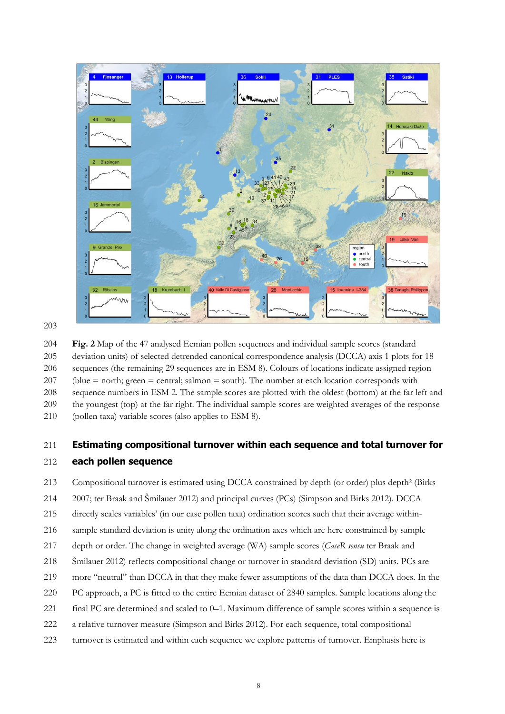

 **Fig. 2** Map of the 47 analysed Eemian pollen sequences and individual sample scores (standard deviation units) of selected detrended canonical correspondence analysis (DCCA) axis 1 plots for 18 sequences (the remaining 29 sequences are in ESM 8). Colours of locations indicate assigned region 207 (blue  $=$  north; green  $=$  central; salmon  $=$  south). The number at each location corresponds with sequence numbers in ESM 2. The sample scores are plotted with the oldest (bottom) at the far left and the youngest (top) at the far right. The individual sample scores are weighted averages of the response (pollen taxa) variable scores (also applies to ESM 8).

# **Estimating compositional turnover within each sequence and total turnover for**

#### **each pollen sequence**

213 Compositional turnover is estimated using DCCA constrained by depth (or order) plus depth<sup>2</sup> (Birks

- 2007; ter Braak and Šmilauer 2012) and principal curves (PCs) (Simpson and Birks 2012). DCCA
- directly scales variables' (in our case pollen taxa) ordination scores such that their average within-
- sample standard deviation is unity along the ordination axes which are here constrained by sample
- depth or order. The change in weighted average (WA) sample scores (*CaseR sensu* ter Braak and
- Šmilauer 2012) reflects compositional change or turnover in standard deviation (SD) units. PCs are
- more "neutral" than DCCA in that they make fewer assumptions of the data than DCCA does. In the
- PC approach, a PC is fitted to the entire Eemian dataset of 2840 samples. Sample locations along the
- final PC are determined and scaled to 0–1. Maximum difference of sample scores within a sequence is
- a relative turnover measure (Simpson and Birks 2012). For each sequence, total compositional
- turnover is estimated and within each sequence we explore patterns of turnover. Emphasis here is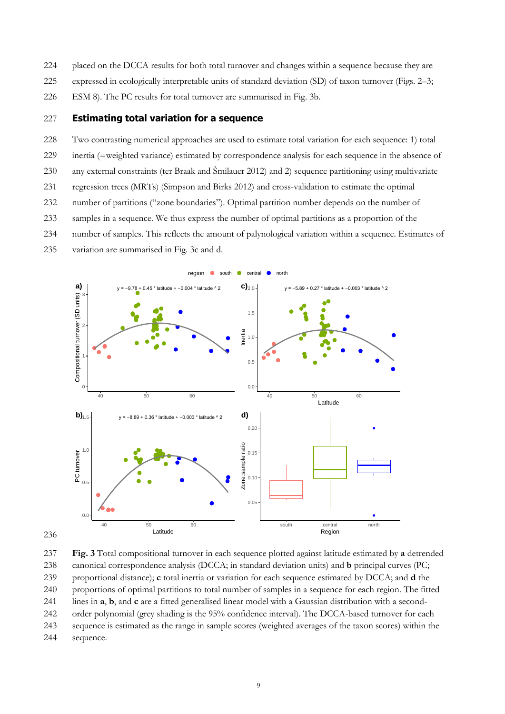- 224 placed on the DCCA results for both total turnover and changes within a sequence because they are
- 225 expressed in ecologically interpretable units of standard deviation (SD) of taxon turnover (Figs. 2–3;
- 226 ESM 8). The PC results for total turnover are summarised in Fig. 3b.

#### 227 **Estimating total variation for a sequence**

 Two contrasting numerical approaches are used to estimate total variation for each sequence: 1) total inertia (=weighted variance) estimated by correspondence analysis for each sequence in the absence of any external constraints (ter Braak and Šmilauer 2012) and 2) sequence partitioning using multivariate regression trees (MRTs) (Simpson and Birks 2012) and cross-validation to estimate the optimal number of partitions ("zone boundaries"). Optimal partition number depends on the number of samples in a sequence. We thus express the number of optimal partitions as a proportion of the number of samples. This reflects the amount of palynological variation within a sequence. Estimates of variation are summarised in Fig. 3c and d.





237 **Fig. 3** Total compositional turnover in each sequence plotted against latitude estimated by **a** detrended 238 canonical correspondence analysis (DCCA; in standard deviation units) and **b** principal curves (PC; 239 proportional distance); **c** total inertia or variation for each sequence estimated by DCCA; and **d** the 240 proportions of optimal partitions to total number of samples in a sequence for each region. The fitted 241 lines in **a**, **b**, and **c** are a fitted generalised linear model with a Gaussian distribution with a second-242 order polynomial (grey shading is the 95% confidence interval). The DCCA-based turnover for each 243 sequence is estimated as the range in sample scores (weighted averages of the taxon scores) within the 244 sequence.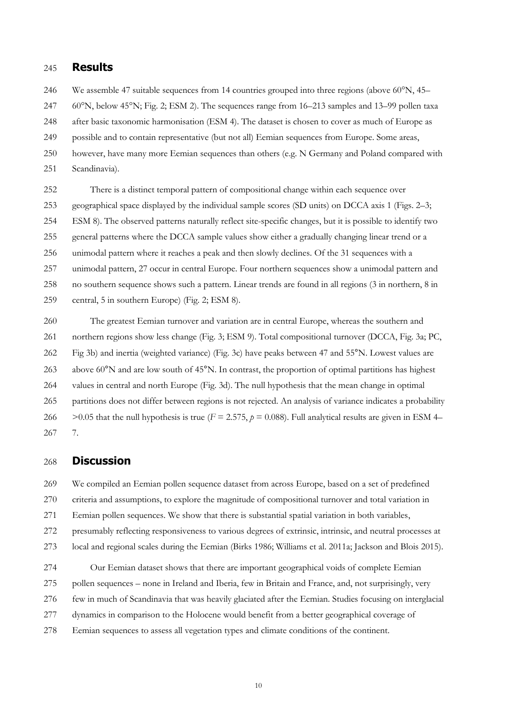#### **Results**

246 We assemble 47 suitable sequences from 14 countries grouped into three regions (above 60°N, 45–

60°N, below 45°N; Fig. 2; ESM 2). The sequences range from 16–213 samples and 13–99 pollen taxa

after basic taxonomic harmonisation (ESM 4). The dataset is chosen to cover as much of Europe as

- possible and to contain representative (but not all) Eemian sequences from Europe. Some areas,
- however, have many more Eemian sequences than others (e.g. N Germany and Poland compared with
- Scandinavia).

 There is a distinct temporal pattern of compositional change within each sequence over geographical space displayed by the individual sample scores (SD units) on DCCA axis 1 (Figs. 2–3; ESM 8). The observed patterns naturally reflect site-specific changes, but it is possible to identify two general patterns where the DCCA sample values show either a gradually changing linear trend or a unimodal pattern where it reaches a peak and then slowly declines. Of the 31 sequences with a unimodal pattern, 27 occur in central Europe. Four northern sequences show a unimodal pattern and no southern sequence shows such a pattern. Linear trends are found in all regions (3 in northern, 8 in central, 5 in southern Europe) (Fig. 2; ESM 8).

 The greatest Eemian turnover and variation are in central Europe, whereas the southern and northern regions show less change (Fig. 3; ESM 9). Total compositional turnover (DCCA, Fig. 3a; PC, Fig 3b) and inertia (weighted variance) (Fig. 3c) have peaks between 47 and 55°N. Lowest values are 263 above 60<sup>°</sup>N and are low south of 45<sup>°</sup>N. In contrast, the proportion of optimal partitions has highest values in central and north Europe (Fig. 3d). The null hypothesis that the mean change in optimal partitions does not differ between regions is not rejected. An analysis of variance indicates a probability  $>0.05$  that the null hypothesis is true ( $F = 2.575$ ,  $p = 0.088$ ). Full analytical results are given in ESM 4– 7.

#### **Discussion**

269 We compiled an Eemian pollen sequence dataset from across Europe, based on a set of predefined criteria and assumptions, to explore the magnitude of compositional turnover and total variation in

Eemian pollen sequences. We show that there is substantial spatial variation in both variables,

presumably reflecting responsiveness to various degrees of extrinsic, intrinsic, and neutral processes at

local and regional scales during the Eemian (Birks 1986; Williams et al. 2011a; Jackson and Blois 2015).

Our Eemian dataset shows that there are important geographical voids of complete Eemian

pollen sequences – none in Ireland and Iberia, few in Britain and France, and, not surprisingly, very

- few in much of Scandinavia that was heavily glaciated after the Eemian. Studies focusing on interglacial
- dynamics in comparison to the Holocene would benefit from a better geographical coverage of
- Eemian sequences to assess all vegetation types and climate conditions of the continent.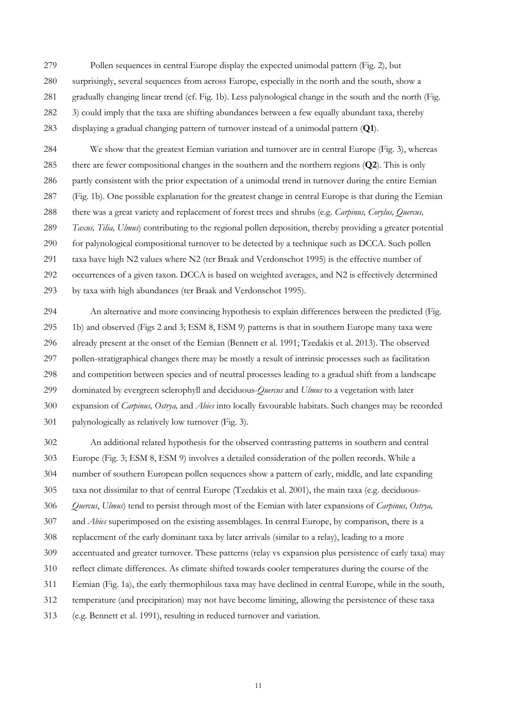Pollen sequences in central Europe display the expected unimodal pattern (Fig. 2), but surprisingly, several sequences from across Europe, especially in the north and the south, show a gradually changing linear trend (cf. Fig. 1b). Less palynological change in the south and the north (Fig. 3) could imply that the taxa are shifting abundances between a few equally abundant taxa, thereby displaying a gradual changing pattern of turnover instead of a unimodal pattern (**Q1**).

 We show that the greatest Eemian variation and turnover are in central Europe (Fig. 3), whereas there are fewer compositional changes in the southern and the northern regions (**Q2**). This is only partly consistent with the prior expectation of a unimodal trend in turnover during the entire Eemian (Fig. 1b). One possible explanation for the greatest change in central Europe is that during the Eemian there was a great variety and replacement of forest trees and shrubs (e.g. *Carpinus, Corylus, Quercus, Taxus, Tilia, Ulmus*) contributing to the regional pollen deposition, thereby providing a greater potential for palynological compositional turnover to be detected by a technique such as DCCA. Such pollen taxa have high N2 values where N2 (ter Braak and Verdonschot 1995) is the effective number of occurrences of a given taxon. DCCA is based on weighted averages, and N2 is effectively determined by taxa with high abundances (ter Braak and Verdonschot 1995).

 An alternative and more convincing hypothesis to explain differences between the predicted (Fig. 1b) and observed (Figs 2 and 3; ESM 8, ESM 9) patterns is that in southern Europe many taxa were already present at the onset of the Eemian (Bennett et al. 1991; Tzedakis et al. 2013). The observed pollen-stratigraphical changes there may be mostly a result of intrinsic processes such as facilitation and competition between species and of neutral processes leading to a gradual shift from a landscape dominated by evergreen sclerophyll and deciduous-*Quercus* and *Ulmus* to a vegetation with later expansion of *Carpinus, Ostrya,* and *Abies* into locally favourable habitats. Such changes may be recorded palynologically as relatively low turnover (Fig. 3).

 An additional related hypothesis for the observed contrasting patterns in southern and central Europe (Fig. 3; ESM 8, ESM 9) involves a detailed consideration of the pollen records. While a number of southern European pollen sequences show a pattern of early, middle, and late expanding taxa not dissimilar to that of central Europe (Tzedakis et al. 2001), the main taxa (e.g. deciduous- *Quercus*, *Ulmus*) tend to persist through most of the Eemian with later expansions of *Carpinus, Ostrya,* and *Abies* superimposed on the existing assemblages. In central Europe, by comparison, there is a replacement of the early dominant taxa by later arrivals (similar to a relay), leading to a more accentuated and greater turnover. These patterns (relay vs expansion plus persistence of early taxa) may reflect climate differences. As climate shifted towards cooler temperatures during the course of the Eemian (Fig. 1a), the early thermophilous taxa may have declined in central Europe, while in the south, temperature (and precipitation) may not have become limiting, allowing the persistence of these taxa (e.g. Bennett et al. 1991), resulting in reduced turnover and variation.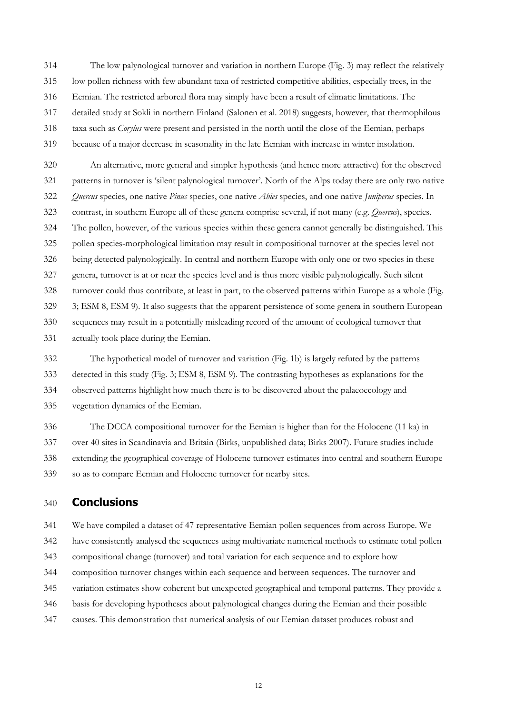The low palynological turnover and variation in northern Europe (Fig. 3) may reflect the relatively low pollen richness with few abundant taxa of restricted competitive abilities, especially trees, in the Eemian. The restricted arboreal flora may simply have been a result of climatic limitations. The detailed study at Sokli in northern Finland (Salonen et al. 2018) suggests, however, that thermophilous taxa such as *Corylus* were present and persisted in the north until the close of the Eemian, perhaps because of a major decrease in seasonality in the late Eemian with increase in winter insolation.

 An alternative, more general and simpler hypothesis (and hence more attractive) for the observed patterns in turnover is 'silent palynological turnover'. North of the Alps today there are only two native *Quercus* species, one native *Pinus* species, one native *Abies* species, and one native *Juniperus* species. In contrast, in southern Europe all of these genera comprise several, if not many (e.g. *Quercus*), species. The pollen, however, of the various species within these genera cannot generally be distinguished. This pollen species-morphological limitation may result in compositional turnover at the species level not being detected palynologically. In central and northern Europe with only one or two species in these genera, turnover is at or near the species level and is thus more visible palynologically. Such silent turnover could thus contribute, at least in part, to the observed patterns within Europe as a whole (Fig. 3; ESM 8, ESM 9). It also suggests that the apparent persistence of some genera in southern European sequences may result in a potentially misleading record of the amount of ecological turnover that actually took place during the Eemian.

 The hypothetical model of turnover and variation (Fig. 1b) is largely refuted by the patterns detected in this study (Fig. 3; ESM 8, ESM 9). The contrasting hypotheses as explanations for the observed patterns highlight how much there is to be discovered about the palaeoecology and vegetation dynamics of the Eemian.

 The DCCA compositional turnover for the Eemian is higher than for the Holocene (11 ka) in over 40 sites in Scandinavia and Britain (Birks, unpublished data; Birks 2007). Future studies include extending the geographical coverage of Holocene turnover estimates into central and southern Europe so as to compare Eemian and Holocene turnover for nearby sites.

# **Conclusions**

We have compiled a dataset of 47 representative Eemian pollen sequences from across Europe. We

have consistently analysed the sequences using multivariate numerical methods to estimate total pollen

- compositional change (turnover) and total variation for each sequence and to explore how
- composition turnover changes within each sequence and between sequences. The turnover and

variation estimates show coherent but unexpected geographical and temporal patterns. They provide a

- basis for developing hypotheses about palynological changes during the Eemian and their possible
- causes. This demonstration that numerical analysis of our Eemian dataset produces robust and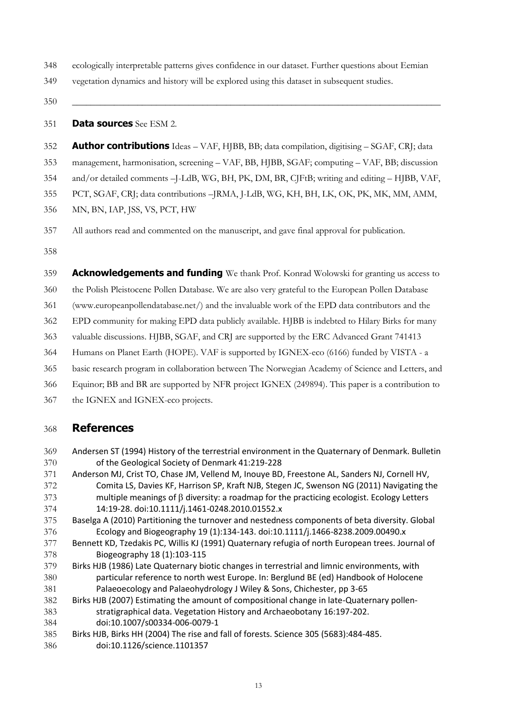- ecologically interpretable patterns gives confidence in our dataset. Further questions about Eemian
- vegetation dynamics and history will be explored using this dataset in subsequent studies.
- **\_\_\_\_\_\_\_\_\_\_\_\_\_\_\_\_\_\_\_\_\_\_\_\_\_\_\_\_\_\_\_\_\_\_\_\_\_\_\_\_\_\_\_\_\_\_\_\_\_\_\_\_\_\_\_\_\_\_\_\_\_\_\_\_\_\_\_\_\_\_\_\_\_\_\_\_\_\_\_**

**Data sources** See ESM 2.

- **Author contributions** Ideas VAF, HJBB, BB; data compilation, digitising SGAF, CRJ; data management, harmonisation, screening – VAF, BB, HJBB, SGAF; computing – VAF, BB; discussion and/or detailed comments –J-LdB, WG, BH, PK, DM, BR, CJFtB; writing and editing – HJBB, VAF, PCT, SGAF, CRJ; data contributions –JRMA, J-LdB, WG, KH, BH, LK, OK, PK, MK, MM, AMM, MN, BN, IAP, JSS, VS, PCT, HW
- All authors read and commented on the manuscript, and gave final approval for publication.

**Acknowledgements and funding** We thank Prof. Konrad Wolowski for granting us access to

the Polish Pleistocene Pollen Database. We are also very grateful to the European Pollen Database

(www.europeanpollendatabase.net/) and the invaluable work of the EPD data contributors and the

EPD community for making EPD data publicly available. HJBB is indebted to Hilary Birks for many

- valuable discussions. HJBB, SGAF, and CRJ are supported by the ERC Advanced Grant 741413
- Humans on Planet Earth (HOPE). VAF is supported by IGNEX-eco (6166) funded by VISTA a
- basic research program in collaboration between The Norwegian Academy of Science and Letters, and
- Equinor; BB and BR are supported by NFR project IGNEX (249894). This paper is a contribution to
- the IGNEX and IGNEX-eco projects.

# **References**

- Andersen ST (1994) History of the terrestrial environment in the Quaternary of Denmark. Bulletin of the Geological Society of Denmark 41:219-228
- Anderson MJ, Crist TO, Chase JM, Vellend M, Inouye BD, Freestone AL, Sanders NJ, Cornell HV, Comita LS, Davies KF, Harrison SP, Kraft NJB, Stegen JC, Swenson NG (2011) Navigating the multiple meanings of  $\beta$  diversity: a roadmap for the practicing ecologist. Ecology Letters 14:19-28. doi:10.1111/j.1461-0248.2010.01552.x
- Baselga A (2010) Partitioning the turnover and nestedness components of beta diversity. Global Ecology and Biogeography 19 (1):134-143. doi:10.1111/j.1466-8238.2009.00490.x
- Bennett KD, Tzedakis PC, Willis KJ (1991) Quaternary refugia of north European trees. Journal of Biogeography 18 (1):103-115
- Birks HJB (1986) Late Quaternary biotic changes in terrestrial and limnic environments, with particular reference to north west Europe. In: Berglund BE (ed) Handbook of Holocene Palaeoecology and Palaeohydrology J Wiley & Sons, Chichester, pp 3-65
- Birks HJB (2007) Estimating the amount of compositional change in late-Quaternary pollen- stratigraphical data. Vegetation History and Archaeobotany 16:197-202. doi:10.1007/s00334-006-0079-1
- Birks HJB, Birks HH (2004) The rise and fall of forests. Science 305 (5683):484-485.
- doi:10.1126/science.1101357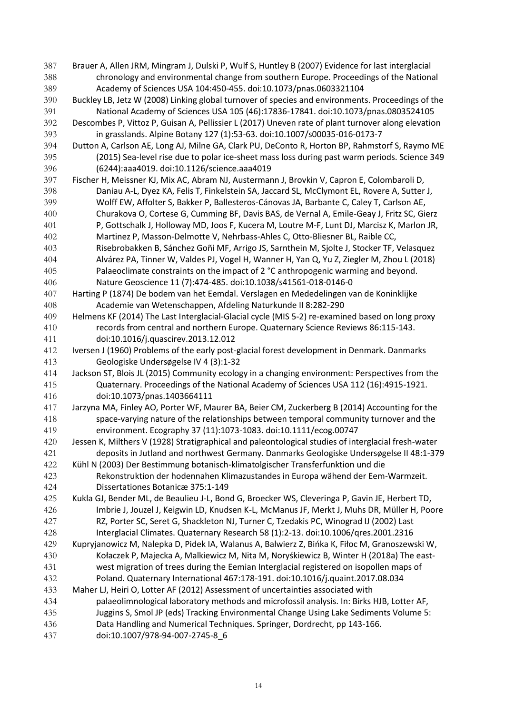Brauer A, Allen JRM, Mingram J, Dulski P, Wulf S, Huntley B (2007) Evidence for last interglacial chronology and environmental change from southern Europe. Proceedings of the National Academy of Sciences USA 104:450-455. doi:10.1073/pnas.0603321104 Buckley LB, Jetz W (2008) Linking global turnover of species and environments. Proceedings of the National Academy of Sciences USA 105 (46):17836-17841. doi:10.1073/pnas.0803524105 Descombes P, Vittoz P, Guisan A, Pellissier L (2017) Uneven rate of plant turnover along elevation in grasslands. Alpine Botany 127 (1):53-63. doi:10.1007/s00035-016-0173-7 Dutton A, Carlson AE, Long AJ, Milne GA, Clark PU, DeConto R, Horton BP, Rahmstorf S, Raymo ME (2015) Sea-level rise due to polar ice-sheet mass loss during past warm periods. Science 349 (6244):aaa4019. doi:10.1126/science.aaa4019 Fischer H, Meissner KJ, Mix AC, Abram NJ, Austermann J, Brovkin V, Capron E, Colombaroli D, Daniau A-L, Dyez KA, Felis T, Finkelstein SA, Jaccard SL, McClymont EL, Rovere A, Sutter J, Wolff EW, Affolter S, Bakker P, Ballesteros-Cánovas JA, Barbante C, Caley T, Carlson AE, Churakova O, Cortese G, Cumming BF, Davis BAS, de Vernal A, Emile-Geay J, Fritz SC, Gierz P, Gottschalk J, Holloway MD, Joos F, Kucera M, Loutre M-F, Lunt DJ, Marcisz K, Marlon JR, Martinez P, Masson-Delmotte V, Nehrbass-Ahles C, Otto-Bliesner BL, Raible CC, Risebrobakken B, Sánchez Goñi MF, Arrigo JS, Sarnthein M, Sjolte J, Stocker TF, Velasquez Alvárez PA, Tinner W, Valdes PJ, Vogel H, Wanner H, Yan Q, Yu Z, Ziegler M, Zhou L (2018) Palaeoclimate constraints on the impact of 2 °C anthropogenic warming and beyond. Nature Geoscience 11 (7):474-485. doi:10.1038/s41561-018-0146-0 Harting P (1874) De bodem van het Eemdal. Verslagen en Mededelingen van de Koninklijke Academie van Wetenschappen, Afdeling Naturkunde II 8:282-290 Helmens KF (2014) The Last Interglacial-Glacial cycle (MIS 5-2) re-examined based on long proxy records from central and northern Europe. Quaternary Science Reviews 86:115-143. doi:10.1016/j.quascirev.2013.12.012 412 Iversen J (1960) Problems of the early post-glacial forest development in Denmark. Danmarks Geologiske Undersøgelse IV 4 (3):1-32 Jackson ST, Blois JL (2015) Community ecology in a changing environment: Perspectives from the Quaternary. Proceedings of the National Academy of Sciences USA 112 (16):4915-1921. doi:10.1073/pnas.1403664111 Jarzyna MA, Finley AO, Porter WF, Maurer BA, Beier CM, Zuckerberg B (2014) Accounting for the space-varying nature of the relationships between temporal community turnover and the environment. Ecography 37 (11):1073-1083. doi:10.1111/ecog.00747 Jessen K, Milthers V (1928) Stratigraphical and paleontological studies of interglacial fresh-water deposits in Jutland and northwest Germany. Danmarks Geologiske Undersøgelse II 48:1-379 Kühl N (2003) Der Bestimmung botanisch-klimatolgischer Transferfunktion und die Rekonstruktion der hodennahen Klimazustandes in Europa wähend der Eem-Warmzeit. Dissertationes Botanicæ 375:1-149 Kukla GJ, Bender ML, de Beaulieu J-L, Bond G, Broecker WS, Cleveringa P, Gavin JE, Herbert TD, Imbrie J, Jouzel J, Keigwin LD, Knudsen K-L, McManus JF, Merkt J, Muhs DR, Müller H, Poore RZ, Porter SC, Seret G, Shackleton NJ, Turner C, Tzedakis PC, Winograd IJ (2002) Last Interglacial Climates. Quaternary Research 58 (1):2-13. doi:10.1006/qres.2001.2316 Kupryjanowicz M, Nalepka D, Pidek IA, Walanus A, Balwierz Z, Bińka K, Fiłoc M, Granoszewski W, Kołaczek P, Majecka A, Malkiewicz M, Nita M, Noryśkiewicz B, Winter H (2018a) The east- west migration of trees during the Eemian Interglacial registered on isopollen maps of Poland. Quaternary International 467:178-191. doi:10.1016/j.quaint.2017.08.034 Maher LJ, Heiri O, Lotter AF (2012) Assessment of uncertainties associated with palaeolimnological laboratory methods and microfossil analysis. In: Birks HJB, Lotter AF, Juggins S, Smol JP (eds) Tracking Environmental Change Using Lake Sediments Volume 5: Data Handling and Numerical Techniques. Springer, Dordrecht, pp 143-166. doi:10.1007/978-94-007-2745-8\_6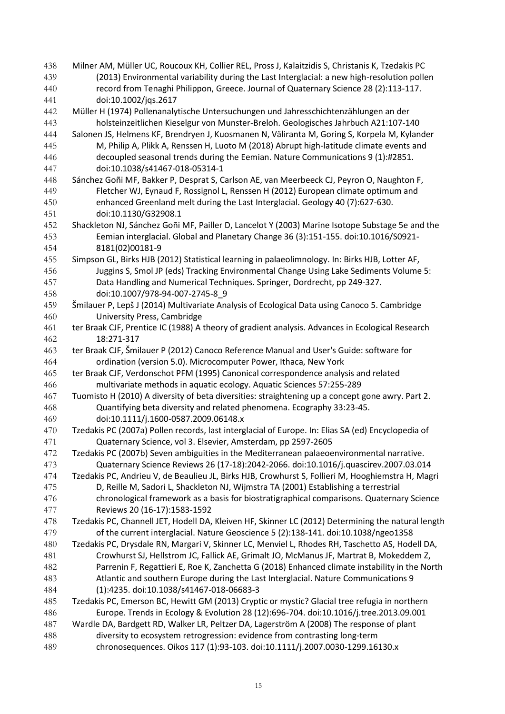Milner AM, Müller UC, Roucoux KH, Collier REL, Pross J, Kalaitzidis S, Christanis K, Tzedakis PC (2013) Environmental variability during the Last Interglacial: a new high-resolution pollen record from Tenaghi Philippon, Greece. Journal of Quaternary Science 28 (2):113-117. doi:10.1002/jqs.2617 Müller H (1974) Pollenanalytische Untersuchungen und Jahresschichtenzählungen an der holsteinzeitlichen Kieselgur von Munster-Breloh. Geologisches Jahrbuch A21:107-140 Salonen JS, Helmens KF, Brendryen J, Kuosmanen N, Väliranta M, Goring S, Korpela M, Kylander M, Philip A, Plikk A, Renssen H, Luoto M (2018) Abrupt high-latitude climate events and decoupled seasonal trends during the Eemian. Nature Communications 9 (1):#2851. doi:10.1038/s41467-018-05314-1 Sánchez Goñi MF, Bakker P, Desprat S, Carlson AE, van Meerbeeck CJ, Peyron O, Naughton F, Fletcher WJ, Eynaud F, Rossignol L, Renssen H (2012) European climate optimum and enhanced Greenland melt during the Last Interglacial. Geology 40 (7):627-630. doi:10.1130/G32908.1 Shackleton NJ, Sánchez Goñi MF, Pailler D, Lancelot Y (2003) Marine Isotope Substage 5e and the Eemian interglacial. Global and Planetary Change 36 (3):151-155. doi:10.1016/S0921- 8181(02)00181-9 Simpson GL, Birks HJB (2012) Statistical learning in palaeolimnology. In: Birks HJB, Lotter AF, Juggins S, Smol JP (eds) Tracking Environmental Change Using Lake Sediments Volume 5: Data Handling and Numerical Techniques. Springer, Dordrecht, pp 249-327. doi:10.1007/978-94-007-2745-8\_9 Šmilauer P, Lepš J (2014) Multivariate Analysis of Ecological Data using Canoco 5. Cambridge University Press, Cambridge ter Braak CJF, Prentice IC (1988) A theory of gradient analysis. Advances in Ecological Research 18:271-317 ter Braak CJF, Šmilauer P (2012) Canoco Reference Manual and User's Guide: software for ordination (version 5.0). Microcomputer Power, Ithaca, New York ter Braak CJF, Verdonschot PFM (1995) Canonical correspondence analysis and related multivariate methods in aquatic ecology. Aquatic Sciences 57:255-289 Tuomisto H (2010) A diversity of beta diversities: straightening up a concept gone awry. Part 2. Quantifying beta diversity and related phenomena. Ecography 33:23-45. doi:10.1111/j.1600-0587.2009.06148.x Tzedakis PC (2007a) Pollen records, last interglacial of Europe. In: Elias SA (ed) Encyclopedia of Quaternary Science, vol 3. Elsevier, Amsterdam, pp 2597-2605 Tzedakis PC (2007b) Seven ambiguities in the Mediterranean palaeoenvironmental narrative. Quaternary Science Reviews 26 (17-18):2042-2066. doi:10.1016/j.quascirev.2007.03.014 Tzedakis PC, Andrieu V, de Beaulieu JL, Birks HJB, Crowhurst S, Follieri M, Hooghiemstra H, Magri D, Reille M, Sadori L, Shackleton NJ, Wijmstra TA (2001) Establishing a terrestrial chronological framework as a basis for biostratigraphical comparisons. Quaternary Science Reviews 20 (16-17):1583-1592 Tzedakis PC, Channell JET, Hodell DA, Kleiven HF, Skinner LC (2012) Determining the natural length of the current interglacial. Nature Geoscience 5 (2):138-141. doi:10.1038/ngeo1358 Tzedakis PC, Drysdale RN, Margari V, Skinner LC, Menviel L, Rhodes RH, Taschetto AS, Hodell DA, Crowhurst SJ, Hellstrom JC, Fallick AE, Grimalt JO, McManus JF, Martrat B, Mokeddem Z, Parrenin F, Regattieri E, Roe K, Zanchetta G (2018) Enhanced climate instability in the North Atlantic and southern Europe during the Last Interglacial. Nature Communications 9 (1):4235. doi:10.1038/s41467-018-06683-3 Tzedakis PC, Emerson BC, Hewitt GM (2013) Cryptic or mystic? Glacial tree refugia in northern Europe. Trends in Ecology & Evolution 28 (12):696-704. doi:10.1016/j.tree.2013.09.001 Wardle DA, Bardgett RD, Walker LR, Peltzer DA, Lagerström A (2008) The response of plant diversity to ecosystem retrogression: evidence from contrasting long-term chronosequences. Oikos 117 (1):93-103. doi:10.1111/j.2007.0030-1299.16130.x